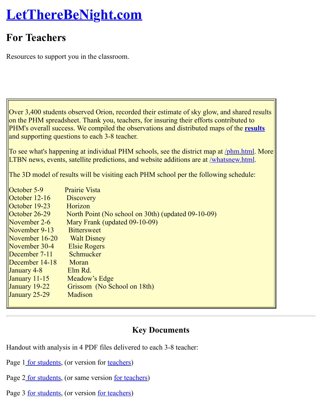Resources to support you in the classroom.

Over 3,400 students observed Orion, recorded their estimate of sky glow, and shared results on the PHM spreadsheet. Thank you, teachers, for insuring their efforts contributed to PHM's overall success. We compiled the observations and distributed maps of the **results** and supporting questions to each 3-8 teacher.

To see what's happening at individual PHM schools, see the district map at /phm.html. More LTBN news, events, satellite predictions, and website additions are at /whatsnew.html.

The 3D model of results will be visiting each PHM school per the following schedule:

| October 5-9      | <b>Prairie Vista</b>                               |
|------------------|----------------------------------------------------|
| October $12-16$  | <b>Discovery</b>                                   |
| October $19-23$  | Horizon                                            |
| October $26-29$  | North Point (No school on 30th) (updated 09-10-09) |
| November $2-6$   | Mary Frank (updated 09-10-09)                      |
| November 9-13    | <b>Bittersweet</b>                                 |
| November 16-20   | <b>Walt Disney</b>                                 |
| November 30-4    | <b>Elsie Rogers</b>                                |
| December 7-11    | Schmucker                                          |
| December $14-18$ | Moran                                              |
| January 4-8      | Elm Rd.                                            |
| January $11-15$  | Meadow's Edge                                      |
| January $19-22$  | Grissom (No School on 18th)                        |
| January 25-29    | Madison                                            |
|                  |                                                    |

#### **Key Documents**

Handout with analysis in 4 PDF files delivered to each 3-8 teacher:

- Page 1 for students, (or version for teachers)
- Page 2 for students, (or same version for teachers)
- Page 3 <u>for students</u>, (or version <u>for teachers</u>)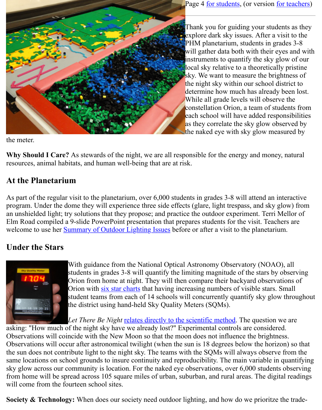instru[ments to quan](http://www.lettherebenight.com/results-analysis4.pdf)tify the sky local sky relative to a theoretic sky. We want to measure the bi the night sky within our school determine how much has alread While all grade levels will observe the unit constellation Orion, a team of s each school will have added re as they correlate the sky glow the naked eye with sky glow m

the meter.

**Why Should I Care?** As stewards of the night, we are all responsible for the energy and mone resources, animal habitats, and human well-being that are at risk.

# **At the Planetarium**

As part of the regular visit to the planetarium, over 6,000 students in grades 3-8 will attend an program. Under the dome they will experience three side effects (glare, light trespass, and sky an unshielded light; try solutions that they propose; and practice the outdoor experiment. Terr Elm Road compiled a 9-slide PowerPoint presentation that prepares students for the visit. Tea welcome to use her **Summary of Outdoor Lighting Issues** before or after a visit to the planetar

# **Under the Stars**



With guidance from the National Optical Astronomy Observatory (NOA) students in grades 3-8 will quantify the limiting magnitude of the stars b Orion from home at night. They will then compare their backyard obser [Orion with six star charts that having](http://www.lettherebenight.com/PHM-intro.ppt) increasing numbers of visible stars. student teams from each of 14 schools will concurrently quantify sky glow the district using hand-held Sky Quality Meters (SQMs).

*Let There Be Night* relates directly to the scientific method. The question

asking: "How much of the night sky have we already lost?" Experimental controls are considered. Observations will coincide with the New Moon so that the moon does not influence the brigh Observations will occur after ast[ronomical twil](http://www.lettherebenight.com/Chart2-starmags.pdf)ight (when the sun is 18 degrees below the hor the sun does not contribute light to the night sky. The teams with the SQMs will always obser same locations on school grounds to insure continuity and reproducibility. The main variable sky glow across our community is location. For the naked eye observations, over 6,000 students observing observing or from home will be spread across 105 squ[are miles of urban, suburban, and rural](http://www.lettherebenight.com/sci-method.doc) areas. The dig will come from the fourteen school sites.

**Society & Technology:** When does our society need outdoor lighting, and how do we prioritz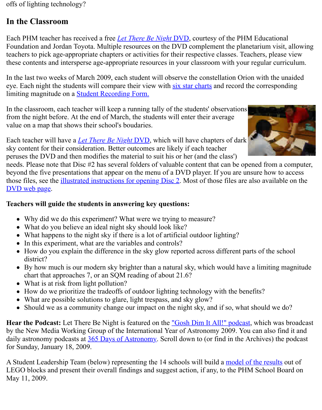teachers to pick age-appropriate chapters or activities for their respective classes. Teachers, please view these contents and intersperse age-appropriate resources in your classroom with your regular

In the last two weeks of March 2009, each student will observe the constellation Orion with the unit of the unit of the unit of the unit of the unit of the unit of the unit of the unit of the unit of the unit of the unit o eye. Each night the students will compare their view with six star charts and record the corres limiting magnitude on a Student Reco[rding Form.](http://www.lettherebenight.com/dvd.html)

In the classroom, each teacher will keep a running tally of the students' observations from the night before. At the end of March, the students will enter their average value on a map that shows their school's boudaries.



Each teacher will have a *Let There Be Night* DVD, which [will have chap](http://www.lettherebenight.com/Chart2-starmags.pdf)ters of dark sky content for their con[sideration. Better outcome](http://www.lettherebenight.com/PHM-recording.htm)s are likely if each teacher peruses the DVD and then modifies the material to suit his or her (and the class')

needs. Please note that Disc #2 has several folders of valuable content that can be opened from beyond the five presentations that appear on the menu of a DVD player. If you are unsure hoy those files, see the illustrated instructions for opening Disc 2. Most of those files are also available on the the DVD web page.

### **Teachers will guide the students in answering key questions:**

- Why did we do this experiment? What were we trying to measure?
- What do you believe an ideal night sky should look like?
- What happe[ns to the night sky if there is a lot of artific](http://www.lettherebenight.com/dvd-open.html)ial outdoor lighting?
- [In this exp](http://www.lettherebenight.com/dvd.html)eriment, what are the variables and controls?
- How do you explain the difference in the sky glow reported across different parts of the district?
- By how much is our modern sky brighter than a natural sky, which would have a limiting chart that approaches 7, or an SQM reading of about 21.6?
- What is at risk from light pollution?
- How do we prioritize the tradeoffs of outdoor lighting technology with the benefits?
- What are possible solutions to glare, light trespass, and sky glow?  $\bullet$
- Should we as a community change our impact on the night sky, and if so, what should w

**Hear the Podcast:** Let There Be Night is featured on the <u>"Gosh Dim It All!" podcast</u>, which by the New Media Working Group of the International Year of Astronomy 2009. You can also daily astronomy podcasts at  $365$  Days of Astronomy. Scroll down to (or find in the Archives) for Sunday, January 18, 2009.

A Student Leadership Team (below) representing the 14 schools will build a model of the results of the results of the results of the results of the results of the results of the results of the results of the results of the LEGO blocks and present their overall findings and suggest action, if any, to the PHM School May 11, 2009.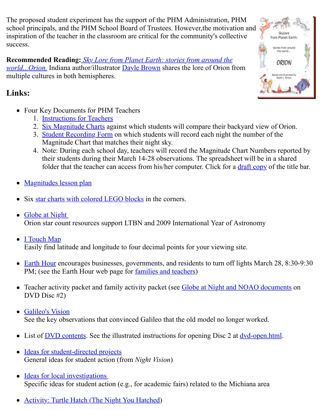**Recommended Reading:** *Sky Lore from Planet Earth: stories from around the world...Orion.* Indiana author/illustrator **Dayle Brown** shares the lore of Orion from multiple cultures in both hemispheres.

# **Links:**

- Four Key Documents for PHM Teachers
	- 1. Instructions for Teachers
	- [2. Six Magnitude Charts against which students will compare their ba](http://www.authorhouse.com/BookStore/ItemDetail~bookid~26318.aspx)ckyard view of
	- 3. Student Recording Form on which students will record each night the number of Magnitude Chart that matches their night sky.
	- 4. Note: During each school day, teachers will record the Magnitude Chart Number their students during their March 14-28 observations. The spreadsheet will be in [folder that the teacher can](http://www.lettherebenight.com/PHM-instructions.doc) access from his/her computer. Click for a draft copy of
- Magn[itudes lesson plan](http://www.lettherebenight.com/PHM-6charts.pdf)
- Six star charts with colored LEGO blocks in the corners.
- Globe at Night Orion star count resources support LTBN and 2009 International Year of [Astronomy](http://www.lettherebenight.com/PHM-spreadsheet.jpg)
- [I Touch Map](http://www.lettherebenight.com/PHM-magnitudes.doc) Eas[ily find latitude and longitude to four d](http://www.lettherebenight.com/lego-corners.jpg)ecimal points for your viewing site.
- Earth Hour encourages businesses, governments, and residents to turn off lights March [PM; \(see the Ea](http://www.globe.gov/GaN/)rth Hour web page for families and teachers)
- Teacher activity packet and family activity packet (see Globe at Night and NOAO documents only only  $\overline{C}$ [DVD Disc #2](http://itouchmap.com/latlong.html))
- Galileo's Vision [See the key](http://www.earthhour.org/) observations that convinc[ed Galileo that the old](http://www.earthhourus.org/action_parents.php) model no longer worked.
- List of  $\overline{DVD}$  contents. See the illustrated instructions for opening Disc 2 at  $\frac{dv}{dv}$ -open.html.
- Ideas for student-directed projects [General ideas fo](http://www.lettherebenight.com/galileo.html)r student action (from *Night Vision*)
- Ideas for local investigations  $\bullet$ Specifi[c ideas for stud](http://www.lettherebenight.com/dvd.html)ent action (e.g., for academic fairs) related to the Mi[chiana area](http://www.lettherebenight.com/dvd-open.html)
- [Activity: Turtle Hatch \(The Night](http://www.nightwise.org/ideas.htm) You Hatched)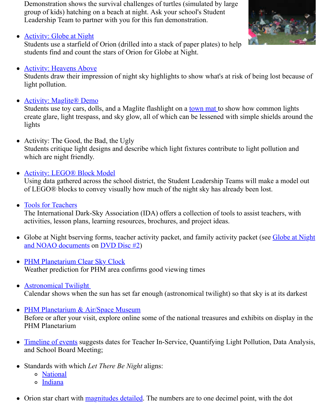#### **Activity: Heavens Above**

Students draw their impression of night sky highlights to show what's at risk of being lost [light pollution.](http://analyzer.depaul.edu/paperplate/globe.htm)

#### • **Activity: Maglite® Demo**

Students use toy cars, dolls, and a Maglite flashlight on a town mat to show how comm create glare, light trespass, and sky glow, all of which can be lessened with simple shields are area. [lights](http://www.lettherebenight.com/heavens.html) 

- Activity: The Good, the Bad, the Ugly Students critique light designs and describe which light fixtures contribute to light pollution and and  $\alpha$ [which are night friendly.](http://www.lettherebenight.com/maglite.html)
- **Activity: LEGO® Block Model**

Using data gathered across the school district, the Student Leadership Teams will make of LEGO® blocks to convey visually how much of the night sky has already been lost.

Tools for Teachers  $\bullet$ 

The International Dark-Sky Association (IDA) offers a collection of tools to assist teach [activities, lesson plans, learning](http://www.lettherebenight.com/blocks.html) resources, brochures, and project ideas.

- Globe at Night bserving forms, teacher activity packet, and family activity packet (see Globe at Night bserving forms, teacher activity packet and family activity packet and NOAO documents on DVD Disc #2)
- [PHM Planetarium](http://www.darksky.org/mc/page.do?sitePageId=59509) Clear Sky Clock Weather prediction for PHM area confirms good viewing times
- Astronomical Twilight Calendar shows when the sun has set far enough (astronomical twilight) so that sky is a
- PHM Planetarium & Air/Space Museum [Before or after your visit, explore o](http://cleardarksky.com/c/PnnHrMPINkey.html)nline some of the national treasures and exhibits on PHM Planetarium
- [Timeline of events sugg](http://www.sunrisesunset.com/usa/Indiana.asp)ests dates for Teacher In-Service, Quantifying Light Pollution, and School Board Meeting;
- [Standards with which](http://www.transitofvenus.org/phm/index.htm) *Let There Be Night* aligns:
	- o National
	- o Indiana
- [Orion star chart wi](http://www.lettherebenight.com/timeline.doc)th magnitudes detailed. The numbers are to one decimel point, with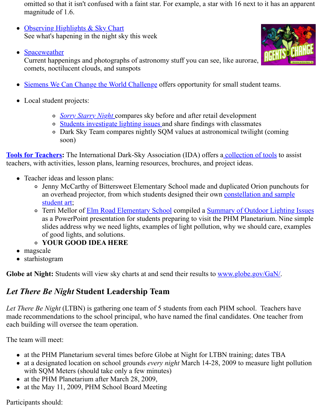Current happenings and photographs of astronomy stuff you can see, like aurorae, **THU** comets, noctilucent clouds, and sunspots



- [Local student](http://www.spaceweather.com/) projects:
	- *Sorry Starry Night* compares sky before and after retail development
	- o Students investigate lighting issues and share findings with classmates
	- o Dark Sky Team compares nightly SQM values at astronomical twilight (compared) [soon\)](http://www.wecanchange.com/)

**Tools for Teachers:** The International Dark-Sky Association (IDA) offers a collection of tool teachers, with activities, lesson plans, learning resources, brochures, and project ideas.

- Teacher ide[as and lesson plans:](http://www.nightwise.org/gsms.htm)
	- Jenny McCarthy of Bittersweet Elementary School made and duplicated Orion punching for the set of  $P$ an overhead projector, from which students designed their own constellation and student art;
	- o [Terri M](http://www.darksky.org/mc/page.do?sitePageId=59509)ellor of Elm Road Elementary School compiled a Summary of Outdoor L as a PowerPoint presentation for students preparing to visit the PHM Planetarium. slides address why we need lights, examples of light pollution, why we should ca of good lights, and solutions.
	- **YOUR GOOD IDEA HERE**
- magscale
- starhi[stogram](http://www.nightwise.org/kidart.htm)

**Globe at Night:** Students will view sky charts at and send their results to www.globe.gov/Ga

#### *Let There Be Night* **Student Leadership Team**

*Let There Be Night* (LTBN) is gathering one team of 5 students from each PHM school. Teach made recommendations to the school principal, who have named the final candidates. One tea each building will oversee the team operation.

The team will meet:

- at the PHM Planetarium several times before Globe at Night for LTBN training; dates T
- at a designated location on school grounds *every night* March 14-28, 2009 to measure l with SQM Meters (should take only a few minutes)
- at the PHM Planetarium after March 28, 2009,
- at the May 11, 2009, PHM School Board Meeting

Participants should: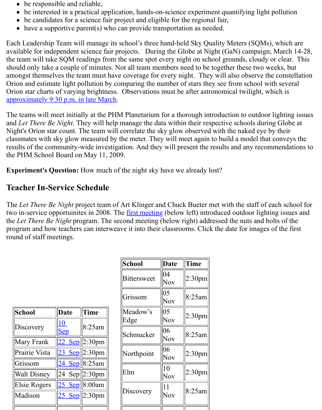the team will take SQM readings from the same spot every night on school grounds, cloudy or should only take a couple of minutes. Not all team members need to be together these two we amongst themselves the team must have coverage for every night. They will also observe the Orion and estimate light pollution by comparing the number of stars they see from school with several set Orion star charts of varying brightness. Observations must be after astronomical twilight, wh approximately 9:30 p.m. in late March.

The teams will meet initially at the PHM Planetarium for a thorough introduction to outdoor l and Let There Be Night. They will help manage the data within their respective schools during Night's Orion star count. The team will correlate the sky glow observed with the naked eye by classmates with sky glow measured by the meter. They will meet again to build a model that results of the community-wide investigation. And they will present the results and any recom[the PHM School Board on May 11, 200](http://www.sunrisesunset.com/usa/Indiana.asp)9.

**Experiment's Question:** How much of the night sky have we already lost?

# **Teacher In-Service Schedule**

The *Let There Be Night* project team of Art Klinger and Chuck Bueter met with the staff of each two in-service opportuinites in 2008. The <u>first meeting</u> (below left) introduced outdoor lighting the *Let There Be Night* program. The second meeting (below right) addressed the nuts and bo program and how teachers can interweave it into their classrooms. Click the date for images of round of staff meetings.

| School             | <b>Date</b>      | <b>Time</b>     |
|--------------------|------------------|-----------------|
| Discovery          | 10<br><u>Sep</u> | 8:25am          |
| Mary Frank         | <u>22 </u>       | $Sep$   2:30pm  |
| Prairie Vista      |                  | $23$ Sep 2:30pm |
| Grissom            | $24$ Sep 8:25am  |                 |
| <b>Walt Disney</b> |                  | 24 Sep 2:30pm   |
| Elsie Rogers       | $25$ Sep 8:00am  |                 |
| Madison            |                  | $25$ Sep 2:30pm |
|                    |                  |                 |

| School           | <b>Date</b> | <b>Time</b>        |
|------------------|-------------|--------------------|
| Bittersweet      | 04<br>Nov   | 2:30pm             |
| Grissom          | 05<br>Nov   | 8:25am             |
| Meadow's<br>Edge | 05<br>Nov   | 2:30 <sub>pm</sub> |
| Schmucker        | 06<br>Nov   | 8:25am             |
| Northpoint       | 06<br>Nov   | 2:30 <sub>pm</sub> |
| Elm              | 10<br>Nov   | 2:30 <sub>pm</sub> |
| Discovery        | 11<br>Nov   | 8:25am             |
|                  |             |                    |